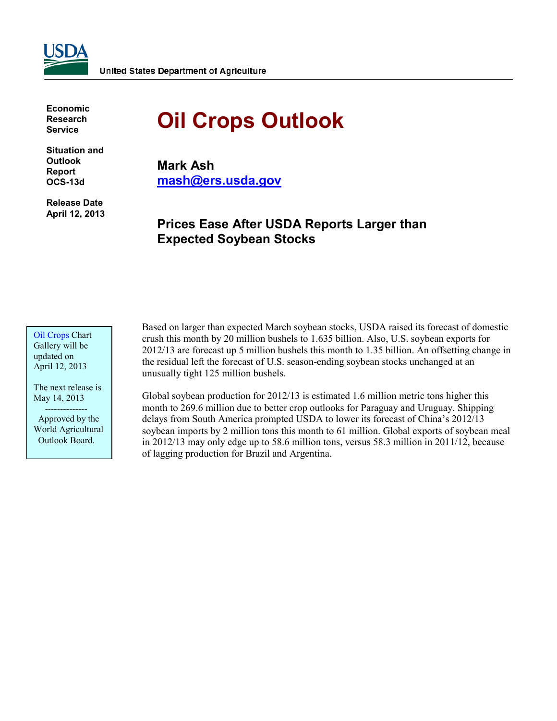**Economic Research Service**

**Situation and Outlook Report OCS-13d**

**Release Date April 12, 2013**

# **Oil Crops Outlook**

**Mark Ash mash@ers.usda.gov**

# **Prices Ease After USDA Reports Larger than Expected Soybean Stocks**

[Oil Crops](http://cms.ers.usda.gov/data-products/oil-crops-chart-gallery.aspx) Chart Gallery will be updated on April 12, 2013

The next release is May 14, 2013 --------------

 Approved by the World Agricultural Outlook Board.

Based on larger than expected March soybean stocks, USDA raised its forecast of domestic crush this month by 20 million bushels to 1.635 billion. Also, U.S. soybean exports for 2012/13 are forecast up 5 million bushels this month to 1.35 billion. An offsetting change in the residual left the forecast of U.S. season-ending soybean stocks unchanged at an unusually tight 125 million bushels.

Global soybean production for 2012/13 is estimated 1.6 million metric tons higher this month to 269.6 million due to better crop outlooks for Paraguay and Uruguay. Shipping delays from South America prompted USDA to lower its forecast of China's 2012/13 soybean imports by 2 million tons this month to 61 million. Global exports of soybean meal in 2012/13 may only edge up to 58.6 million tons, versus 58.3 million in 2011/12, because of lagging production for Brazil and Argentina.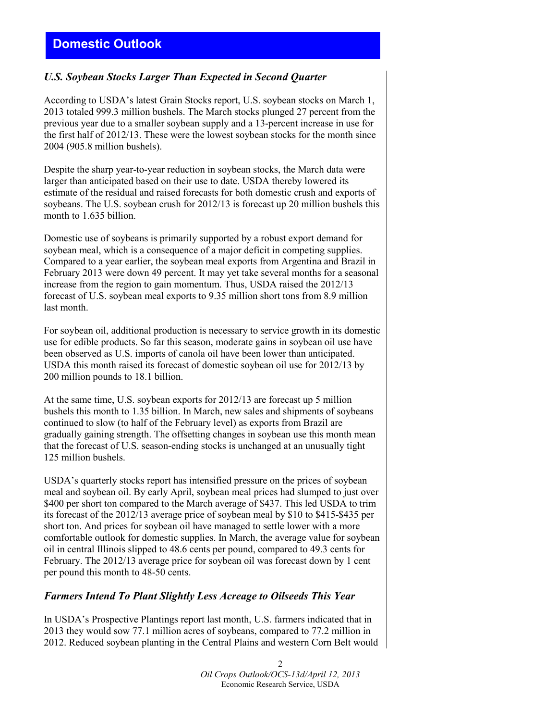# **Domestic Outlook**

### *U.S. Soybean Stocks Larger Than Expected in Second Quarter*

According to USDA's latest Grain Stocks report, U.S. soybean stocks on March 1, 2013 totaled 999.3 million bushels. The March stocks plunged 27 percent from the previous year due to a smaller soybean supply and a 13-percent increase in use for the first half of 2012/13. These were the lowest soybean stocks for the month since 2004 (905.8 million bushels).

Despite the sharp year-to-year reduction in soybean stocks, the March data were larger than anticipated based on their use to date. USDA thereby lowered its estimate of the residual and raised forecasts for both domestic crush and exports of soybeans. The U.S. soybean crush for 2012/13 is forecast up 20 million bushels this month to 1.635 billion.

Domestic use of soybeans is primarily supported by a robust export demand for soybean meal, which is a consequence of a major deficit in competing supplies. Compared to a year earlier, the soybean meal exports from Argentina and Brazil in February 2013 were down 49 percent. It may yet take several months for a seasonal increase from the region to gain momentum. Thus, USDA raised the 2012/13 forecast of U.S. soybean meal exports to 9.35 million short tons from 8.9 million last month.

For soybean oil, additional production is necessary to service growth in its domestic use for edible products. So far this season, moderate gains in soybean oil use have been observed as U.S. imports of canola oil have been lower than anticipated. USDA this month raised its forecast of domestic soybean oil use for 2012/13 by 200 million pounds to 18.1 billion.

At the same time, U.S. soybean exports for 2012/13 are forecast up 5 million bushels this month to 1.35 billion. In March, new sales and shipments of soybeans continued to slow (to half of the February level) as exports from Brazil are gradually gaining strength. The offsetting changes in soybean use this month mean that the forecast of U.S. season-ending stocks is unchanged at an unusually tight 125 million bushels.

USDA's quarterly stocks report has intensified pressure on the prices of soybean meal and soybean oil. By early April, soybean meal prices had slumped to just over \$400 per short ton compared to the March average of \$437. This led USDA to trim its forecast of the 2012/13 average price of soybean meal by \$10 to \$415-\$435 per short ton. And prices for soybean oil have managed to settle lower with a more comfortable outlook for domestic supplies. In March, the average value for soybean oil in central Illinois slipped to 48.6 cents per pound, compared to 49.3 cents for February. The 2012/13 average price for soybean oil was forecast down by 1 cent per pound this month to 48-50 cents.

#### *Farmers Intend To Plant Slightly Less Acreage to Oilseeds This Year*

In USDA's Prospective Plantings report last month, U.S. farmers indicated that in 2013 they would sow 77.1 million acres of soybeans, compared to 77.2 million in 2012. Reduced soybean planting in the Central Plains and western Corn Belt would

> 2 *Oil Crops Outlook/OCS-13d/April 12, 2013* Economic Research Service, USDA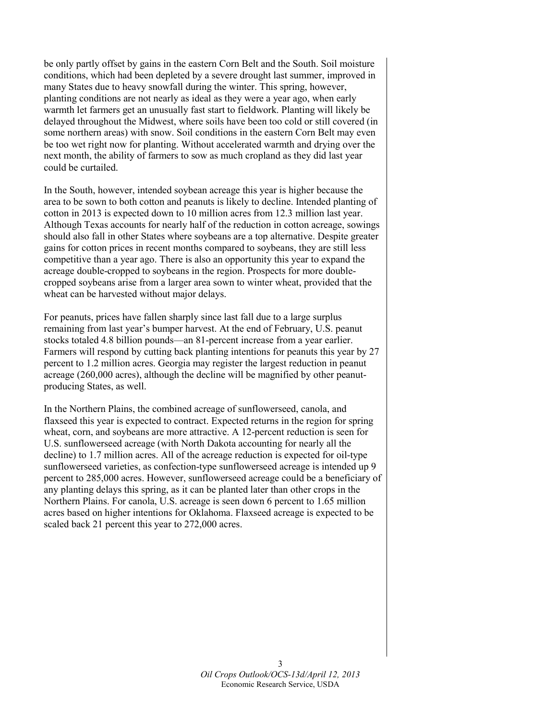be only partly offset by gains in the eastern Corn Belt and the South. Soil moisture conditions, which had been depleted by a severe drought last summer, improved in many States due to heavy snowfall during the winter. This spring, however, planting conditions are not nearly as ideal as they were a year ago, when early warmth let farmers get an unusually fast start to fieldwork. Planting will likely be delayed throughout the Midwest, where soils have been too cold or still covered (in some northern areas) with snow. Soil conditions in the eastern Corn Belt may even be too wet right now for planting. Without accelerated warmth and drying over the next month, the ability of farmers to sow as much cropland as they did last year could be curtailed.

In the South, however, intended soybean acreage this year is higher because the area to be sown to both cotton and peanuts is likely to decline. Intended planting of cotton in 2013 is expected down to 10 million acres from 12.3 million last year. Although Texas accounts for nearly half of the reduction in cotton acreage, sowings should also fall in other States where soybeans are a top alternative. Despite greater gains for cotton prices in recent months compared to soybeans, they are still less competitive than a year ago. There is also an opportunity this year to expand the acreage double-cropped to soybeans in the region. Prospects for more doublecropped soybeans arise from a larger area sown to winter wheat, provided that the wheat can be harvested without major delays.

For peanuts, prices have fallen sharply since last fall due to a large surplus remaining from last year's bumper harvest. At the end of February, U.S. peanut stocks totaled 4.8 billion pounds—an 81-percent increase from a year earlier. Farmers will respond by cutting back planting intentions for peanuts this year by 27 percent to 1.2 million acres. Georgia may register the largest reduction in peanut acreage (260,000 acres), although the decline will be magnified by other peanutproducing States, as well.

In the Northern Plains, the combined acreage of sunflowerseed, canola, and flaxseed this year is expected to contract. Expected returns in the region for spring wheat, corn, and soybeans are more attractive. A 12-percent reduction is seen for U.S. sunflowerseed acreage (with North Dakota accounting for nearly all the decline) to 1.7 million acres. All of the acreage reduction is expected for oil-type sunflowerseed varieties, as confection-type sunflowerseed acreage is intended up 9 percent to 285,000 acres. However, sunflowerseed acreage could be a beneficiary of any planting delays this spring, as it can be planted later than other crops in the Northern Plains. For canola, U.S. acreage is seen down 6 percent to 1.65 million acres based on higher intentions for Oklahoma. Flaxseed acreage is expected to be scaled back 21 percent this year to 272,000 acres.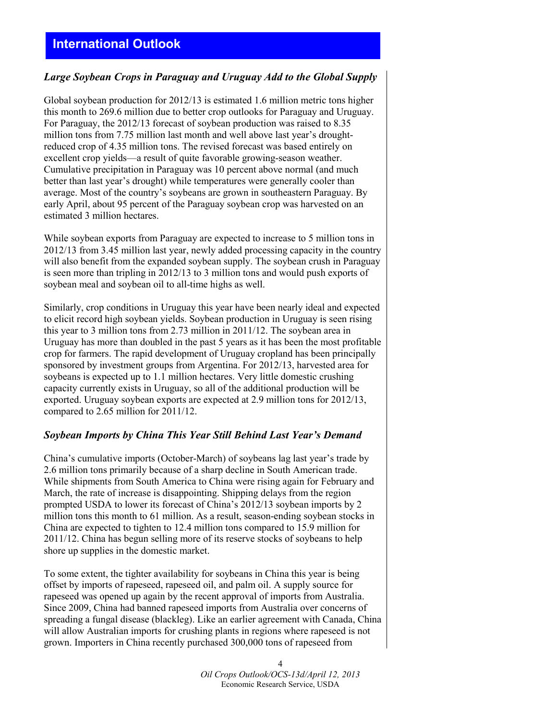# **International Outlook**

### *Large Soybean Crops in Paraguay and Uruguay Add to the Global Supply*

Global soybean production for 2012/13 is estimated 1.6 million metric tons higher this month to 269.6 million due to better crop outlooks for Paraguay and Uruguay. For Paraguay, the 2012/13 forecast of soybean production was raised to 8.35 million tons from 7.75 million last month and well above last year's droughtreduced crop of 4.35 million tons. The revised forecast was based entirely on excellent crop yields—a result of quite favorable growing-season weather. Cumulative precipitation in Paraguay was 10 percent above normal (and much better than last year's drought) while temperatures were generally cooler than average. Most of the country's soybeans are grown in southeastern Paraguay. By early April, about 95 percent of the Paraguay soybean crop was harvested on an estimated 3 million hectares.

While soybean exports from Paraguay are expected to increase to 5 million tons in 2012/13 from 3.45 million last year, newly added processing capacity in the country will also benefit from the expanded soybean supply. The soybean crush in Paraguay is seen more than tripling in 2012/13 to 3 million tons and would push exports of soybean meal and soybean oil to all-time highs as well.

Similarly, crop conditions in Uruguay this year have been nearly ideal and expected to elicit record high soybean yields. Soybean production in Uruguay is seen rising this year to 3 million tons from 2.73 million in 2011/12. The soybean area in Uruguay has more than doubled in the past 5 years as it has been the most profitable crop for farmers. The rapid development of Uruguay cropland has been principally sponsored by investment groups from Argentina. For 2012/13, harvested area for soybeans is expected up to 1.1 million hectares. Very little domestic crushing capacity currently exists in Uruguay, so all of the additional production will be exported. Uruguay soybean exports are expected at 2.9 million tons for 2012/13, compared to 2.65 million for 2011/12.

### *Soybean Imports by China This Year Still Behind Last Year's Demand*

China's cumulative imports (October-March) of soybeans lag last year's trade by 2.6 million tons primarily because of a sharp decline in South American trade. While shipments from South America to China were rising again for February and March, the rate of increase is disappointing. Shipping delays from the region prompted USDA to lower its forecast of China's 2012/13 soybean imports by 2 million tons this month to 61 million. As a result, season-ending soybean stocks in China are expected to tighten to 12.4 million tons compared to 15.9 million for 2011/12. China has begun selling more of its reserve stocks of soybeans to help shore up supplies in the domestic market.

To some extent, the tighter availability for soybeans in China this year is being offset by imports of rapeseed, rapeseed oil, and palm oil. A supply source for rapeseed was opened up again by the recent approval of imports from Australia. Since 2009, China had banned rapeseed imports from Australia over concerns of spreading a fungal disease (blackleg). Like an earlier agreement with Canada, China will allow Australian imports for crushing plants in regions where rapeseed is not grown. Importers in China recently purchased 300,000 tons of rapeseed from

> 4 *Oil Crops Outlook/OCS-13d/April 12, 2013* Economic Research Service, USDA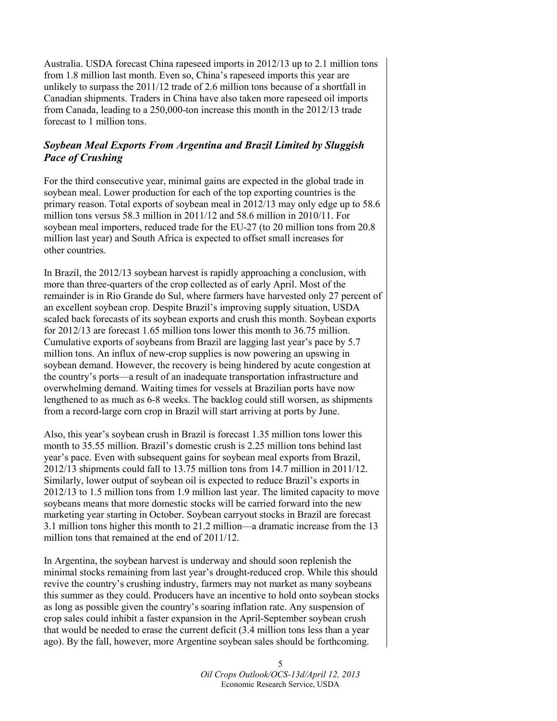Australia. USDA forecast China rapeseed imports in 2012/13 up to 2.1 million tons from 1.8 million last month. Even so, China's rapeseed imports this year are unlikely to surpass the 2011/12 trade of 2.6 million tons because of a shortfall in Canadian shipments. Traders in China have also taken more rapeseed oil imports from Canada, leading to a 250,000-ton increase this month in the 2012/13 trade forecast to 1 million tons.

# *Soybean Meal Exports From Argentina and Brazil Limited by Sluggish Pace of Crushing*

For the third consecutive year, minimal gains are expected in the global trade in soybean meal. Lower production for each of the top exporting countries is the primary reason. Total exports of soybean meal in 2012/13 may only edge up to 58.6 million tons versus 58.3 million in 2011/12 and 58.6 million in 2010/11. For soybean meal importers, reduced trade for the EU-27 (to 20 million tons from 20.8 million last year) and South Africa is expected to offset small increases for other countries.

In Brazil, the 2012/13 soybean harvest is rapidly approaching a conclusion, with more than three-quarters of the crop collected as of early April. Most of the remainder is in Rio Grande do Sul, where farmers have harvested only 27 percent of an excellent soybean crop. Despite Brazil's improving supply situation, USDA scaled back forecasts of its soybean exports and crush this month. Soybean exports for 2012/13 are forecast 1.65 million tons lower this month to 36.75 million. Cumulative exports of soybeans from Brazil are lagging last year's pace by 5.7 million tons. An influx of new-crop supplies is now powering an upswing in soybean demand. However, the recovery is being hindered by acute congestion at the country's ports—a result of an inadequate transportation infrastructure and overwhelming demand. Waiting times for vessels at Brazilian ports have now lengthened to as much as 6-8 weeks. The backlog could still worsen, as shipments from a record-large corn crop in Brazil will start arriving at ports by June.

Also, this year's soybean crush in Brazil is forecast 1.35 million tons lower this month to 35.55 million. Brazil's domestic crush is 2.25 million tons behind last year's pace. Even with subsequent gains for soybean meal exports from Brazil, 2012/13 shipments could fall to 13.75 million tons from 14.7 million in 2011/12. Similarly, lower output of soybean oil is expected to reduce Brazil's exports in 2012/13 to 1.5 million tons from 1.9 million last year. The limited capacity to move soybeans means that more domestic stocks will be carried forward into the new marketing year starting in October. Soybean carryout stocks in Brazil are forecast 3.1 million tons higher this month to 21.2 million—a dramatic increase from the 13 million tons that remained at the end of 2011/12.

In Argentina, the soybean harvest is underway and should soon replenish the minimal stocks remaining from last year's drought-reduced crop. While this should revive the country's crushing industry, farmers may not market as many soybeans this summer as they could. Producers have an incentive to hold onto soybean stocks as long as possible given the country's soaring inflation rate. Any suspension of crop sales could inhibit a faster expansion in the April-September soybean crush that would be needed to erase the current deficit (3.4 million tons less than a year ago). By the fall, however, more Argentine soybean sales should be forthcoming.

> 5 *Oil Crops Outlook/OCS-13d/April 12, 2013* Economic Research Service, USDA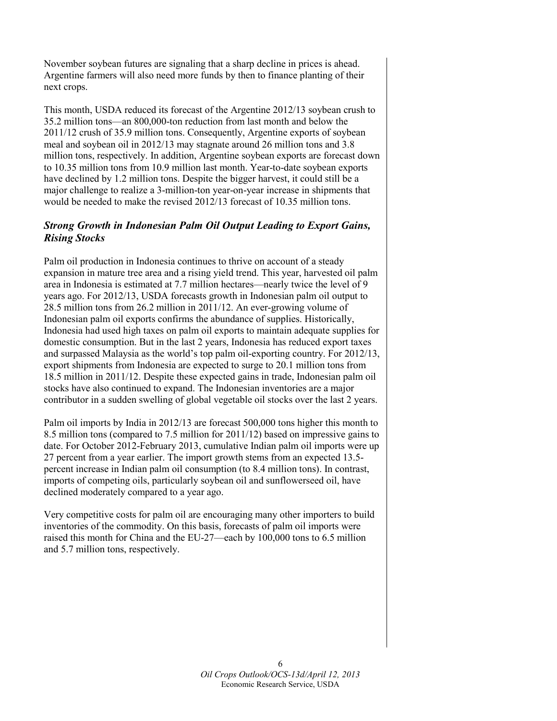November soybean futures are signaling that a sharp decline in prices is ahead. Argentine farmers will also need more funds by then to finance planting of their next crops.

This month, USDA reduced its forecast of the Argentine 2012/13 soybean crush to 35.2 million tons—an 800,000-ton reduction from last month and below the 2011/12 crush of 35.9 million tons. Consequently, Argentine exports of soybean meal and soybean oil in 2012/13 may stagnate around 26 million tons and 3.8 million tons, respectively. In addition, Argentine soybean exports are forecast down to 10.35 million tons from 10.9 million last month. Year-to-date soybean exports have declined by 1.2 million tons. Despite the bigger harvest, it could still be a major challenge to realize a 3-million-ton year-on-year increase in shipments that would be needed to make the revised 2012/13 forecast of 10.35 million tons.

# *Strong Growth in Indonesian Palm Oil Output Leading to Export Gains, Rising Stocks*

Palm oil production in Indonesia continues to thrive on account of a steady expansion in mature tree area and a rising yield trend. This year, harvested oil palm area in Indonesia is estimated at 7.7 million hectares—nearly twice the level of 9 years ago. For 2012/13, USDA forecasts growth in Indonesian palm oil output to 28.5 million tons from 26.2 million in 2011/12. An ever-growing volume of Indonesian palm oil exports confirms the abundance of supplies. Historically, Indonesia had used high taxes on palm oil exports to maintain adequate supplies for domestic consumption. But in the last 2 years, Indonesia has reduced export taxes and surpassed Malaysia as the world's top palm oil-exporting country. For 2012/13, export shipments from Indonesia are expected to surge to 20.1 million tons from 18.5 million in 2011/12. Despite these expected gains in trade, Indonesian palm oil stocks have also continued to expand. The Indonesian inventories are a major contributor in a sudden swelling of global vegetable oil stocks over the last 2 years.

Palm oil imports by India in 2012/13 are forecast 500,000 tons higher this month to 8.5 million tons (compared to 7.5 million for 2011/12) based on impressive gains to date. For October 2012-February 2013, cumulative Indian palm oil imports were up 27 percent from a year earlier. The import growth stems from an expected 13.5 percent increase in Indian palm oil consumption (to 8.4 million tons). In contrast, imports of competing oils, particularly soybean oil and sunflowerseed oil, have declined moderately compared to a year ago.

Very competitive costs for palm oil are encouraging many other importers to build inventories of the commodity. On this basis, forecasts of palm oil imports were raised this month for China and the EU-27—each by 100,000 tons to 6.5 million and 5.7 million tons, respectively.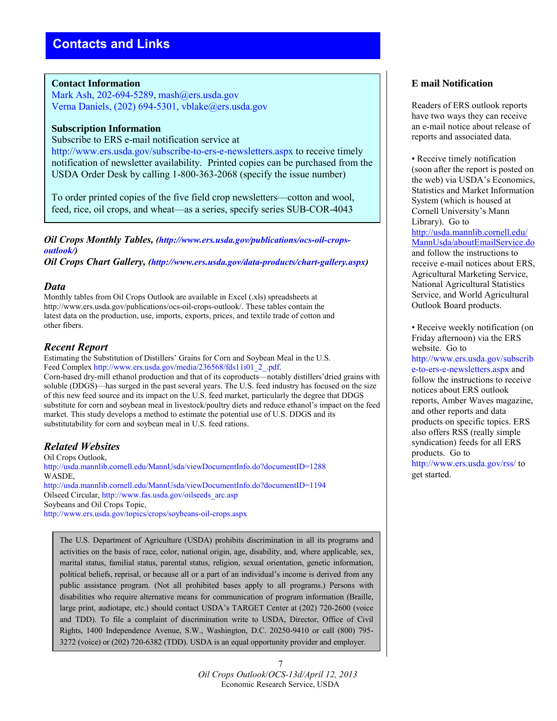#### **Contact Information**

Mark Ash, 202-694-5289, mash@ers.usda.gov Verna Daniels, (202) 694-5301, vblake@ers.usda.gov

#### **Subscription Information**

Subscribe to ERS e-mail notification service at http://www.ers.usda.gov/subscribe-to-ers-e-newsletters.aspx to receive timely notification of newsletter availability. Printed copies can be purchased from the USDA Order Desk by calling 1-800-363-2068 (specify the issue number)

To order printed copies of the five field crop newsletters—cotton and wool, feed, rice, oil crops, and wheat—as a series, specify series SUB-COR-4043

*Oil Crops Monthly Tables, (http://www.ers.usda.gov/publications/ocs-oil-cropsoutlook/)* 

*Oil Crops Chart Gallery, (http://www.ers.usda.gov/data-products/chart-gallery.aspx)* 

#### *Data*

Monthly tables from Oil Crops Outlook are available in Excel (.xls) spreadsheets at http://www.ers.usda.gov/publications/ocs-oil-crops-outlook/. These tables contain the latest data on the production, use, imports, exports, prices, and textile trade of cotton and other fibers.

#### *Recent Report*

Estimating the Substitution of Distillers' Grains for Corn and Soybean Meal in the U.S. Feed Complex http://www.ers.usda.gov/media/236568/fds11i01\_2\_.pdf.

Corn-based dry-mill ethanol production and that of its coproducts—notably distillers'dried grains with soluble (DDGS)—has surged in the past several years. The U.S. feed industry has focused on the size of this new feed source and its impact on the U.S. feed market, particularly the degree that DDGS substitute for corn and soybean meal in livestock/poultry diets and reduce ethanol's impact on the feed market. This study develops a method to estimate the potential use of U.S. DDGS and its substitutability for corn and soybean meal in U.S. feed rations.

### *Related Websites*

Oil Crops Outlook, http://usda.mannlib.cornell.edu/MannUsda/viewDocumentInfo.do?documentID=1288 WASDE, http://usda.mannlib.cornell.edu/MannUsda/viewDocumentInfo.do?documentID=1194 Oilseed Circular, http://www.fas.usda.gov/oilseeds\_arc.asp Soybeans and Oil Crops Topic, http://www.ers.usda.gov/topics/crops/soybeans-oil-crops.aspx

The U.S. Department of Agriculture (USDA) prohibits discrimination in all its programs and activities on the basis of race, color, national origin, age, disability, and, where applicable, sex, marital status, familial status, parental status, religion, sexual orientation, genetic information, political beliefs, reprisal, or because all or a part of an individual's income is derived from any public assistance program. (Not all prohibited bases apply to all programs.) Persons with disabilities who require alternative means for communication of program information (Braille, large print, audiotape, etc.) should contact USDA's TARGET Center at (202) 720-2600 (voice and TDD). To file a complaint of discrimination write to USDA, Director, Office of Civil Rights, 1400 Independence Avenue, S.W., Washington, D.C. 20250-9410 or call (800) 795- 3272 (voice) or (202) 720-6382 (TDD). USDA is an equal opportunity provider and employer.

#### 7 *Oil Crops Outlook*/*OCS-13d/April 12, 2013* Economic Research Service, USDA

### **E mail Notification**

Readers of ERS outlook reports have two ways they can receive an e-mail notice about release of reports and associated data.

• Receive timely notification (soon after the report is posted on the web) via USDA's Economics, Statistics and Market Information System (which is housed at Cornell University's Mann Library). Go to [http://usda.mannlib.cornell.edu/](http://usda.mannlib.cornell.edu/MannUsda/aboutEmailService.do) [MannUsda/aboutEmailService.do](http://usda.mannlib.cornell.edu/MannUsda/aboutEmailService.do) and follow the instructions to receive e-mail notices about ERS, Agricultural Marketing Service, National Agricultural Statistics Service, and World Agricultural Outlook Board products.

• Receive weekly notification (on Friday afternoon) via the ERS website. Go to http://www.ers.usda.gov/subscrib e-to-ers-e-newsletters.aspx and follow the instructions to receive notices about ERS outlook reports, Amber Waves magazine, and other reports and data products on specific topics. ERS also offers RSS (really simple syndication) feeds for all ERS products. Go to http://www.ers.usda.gov/rss/ to get started.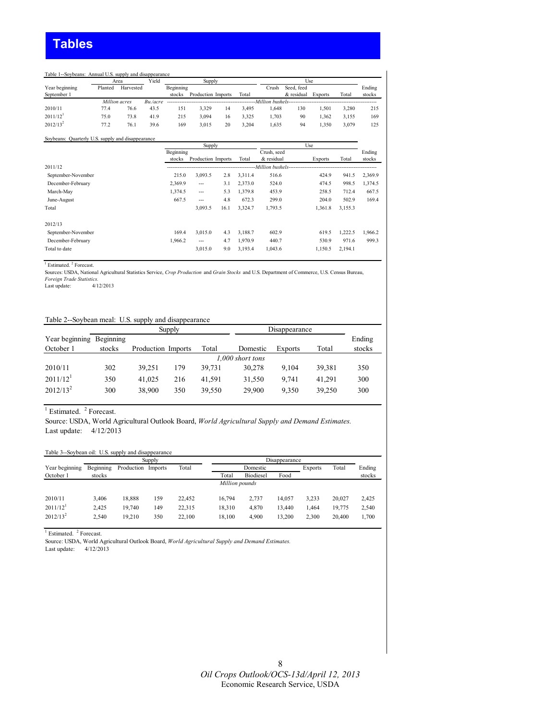#### Table 1--Soybeans: Annual U.S. supply and disappearance

|                        |         | Yield<br>Area |          |           | Supply             |    |       |       | Use        |                |       |        |
|------------------------|---------|---------------|----------|-----------|--------------------|----|-------|-------|------------|----------------|-------|--------|
| Year beginning         | Planted | Harvested     |          | Beginning |                    |    |       | Crush | Seed, feed |                |       | Ending |
| September 1            |         |               |          | stocks    | Production Imports |    | Total |       | & residual | <b>Exports</b> | Total | stocks |
|                        |         | Million acres | Bu./acre |           |                    |    |       |       |            |                |       |        |
| 2010/11                | 77.4    | 76.6          | 43.5     | 151       | 3.329              | 14 | 3.495 | 1.648 | 130        | 1.501          | 3.280 | 215    |
| $2011/12$ <sup>1</sup> | 75.0    | 73.8          | 41.9     | 215       | 3.094              | 16 | 3.325 | 1.703 | 90         | 1.362          | 3.155 | 169    |
| $2012/13^2$            | 77.2    | 76.1          | 39.6     | 169       | 3.015              | 20 | 3.204 | .635  | 94         | 1.350          | 3.079 | 125    |

#### Soybeans: Quarterly U.S. supply and disappearance

|                    |           | Supply             |      |         |                   | Use     |         |         |
|--------------------|-----------|--------------------|------|---------|-------------------|---------|---------|---------|
|                    | Beginning |                    |      |         | Crush, seed       |         |         | Ending  |
|                    | stocks    | Production Imports |      | Total   | & residual        | Exports | Total   | stocks  |
| 2011/12            |           |                    |      |         | -Million bushels- |         |         |         |
| September-November | 215.0     | 3,093.5            | 2.8  | 3,311.4 | 516.6             | 424.9   | 941.5   | 2,369.9 |
| December-February  | 2,369.9   | $---$              | 3.1  | 2,373.0 | 524.0             | 474.5   | 998.5   | 1,374.5 |
| March-May          | 1,374.5   | $---$              | 5.3  | 1,379.8 | 453.9             | 258.5   | 712.4   | 667.5   |
| June-August        | 667.5     | $---$              | 4.8  | 672.3   | 299.0             | 204.0   | 502.9   | 169.4   |
| Total              |           | 3,093.5            | 16.1 | 3,324.7 | 1,793.5           | 1,361.8 | 3,155.3 |         |
| 2012/13            |           |                    |      |         |                   |         |         |         |
| September-November | 169.4     | 3.015.0            | 4.3  | 3.188.7 | 602.9             | 619.5   | 1.222.5 | 1.966.2 |
| December-February  | 1,966.2   | $---$              | 4.7  | 1.970.9 | 440.7             | 530.9   | 971.6   | 999.3   |
| Total to date      |           | 3,015.0            | 9.0  | 3,193.4 | 1,043.6           | 1,150.5 | 2,194.1 |         |

<sup>1</sup> Estimated.<sup>2</sup> Forecast.

Sources: USDA, National Agricultural Statistics Service, *Crop Production* and *Grain Stocks* and U.S. Department of Commerce, U.S. Census Bureau, *Foreign Trade Statistics.*

Last update:

#### Table 2--Soybean meal: U.S. supply and disappearance

|                          |        |                    | Supply |        |                  | Disappearance  |        |        |
|--------------------------|--------|--------------------|--------|--------|------------------|----------------|--------|--------|
| Year beginning Beginning |        |                    |        |        |                  |                |        | Ending |
| October 1                | stocks | Production Imports |        | Total  | Domestic         | <b>Exports</b> | Total  | stocks |
|                          |        |                    |        |        | 1,000 short tons |                |        |        |
| 2010/11                  | 302    | 39.251             | 179    | 39.731 | 30.278           | 9.104          | 39,381 | 350    |
| 2011/12 <sup>1</sup>     | 350    | 41.025             | 216    | 41.591 | 31.550           | 9.741          | 41.291 | 300    |
| $2012/13^2$              | 300    | 38,900             | 350    | 39.550 | 29.900           | 9.350          | 39,250 | 300    |

 $<sup>1</sup>$  Estimated.  $<sup>2</sup>$  Forecast.</sup></sup>

Source: USDA, World Agricultural Outlook Board, *World Agricultural Supply and Demand Estimates.* Last update: 4/12/2013

#### Table 3--Soybean oil: U.S. supply and disappearance

|                        |           |            | Supply  |        |                | Disappearance    |        |         |        |        |
|------------------------|-----------|------------|---------|--------|----------------|------------------|--------|---------|--------|--------|
| Year beginning         | Beginning | Production | Imports | Total  |                | Domestic         |        | Exports | Total  | Ending |
| October 1              | stocks    |            |         |        | Total          | <b>Biodiesel</b> | Food   |         |        | stocks |
|                        |           |            |         |        | Million pounds |                  |        |         |        |        |
| 2010/11                | 3.406     | 18.888     | 59ء     | 22.452 | 16.794         | 2.737            | 14.057 | 3.233   | 20.027 | 2,425  |
| $2011/12$ <sup>1</sup> | 2.425     | 19.740     | 149     | 22.315 | 18.310         | 4.870            | 13.440 | 1.464   | 19.775 | 2,540  |
| $2012/13^2$            | 2.540     | 19.210     | 350     | 22.100 | 18.100         | 4.900            | 13.200 | 2.300   | 20.400 | 1,700  |

 $<sup>1</sup>$  Estimated.  $<sup>2</sup>$  Forecast.</sup></sup>

Source: USDA, World Agricultural Outlook Board, *World Agricultural Supply and Demand Estimates.*

Last update: 4/12/2013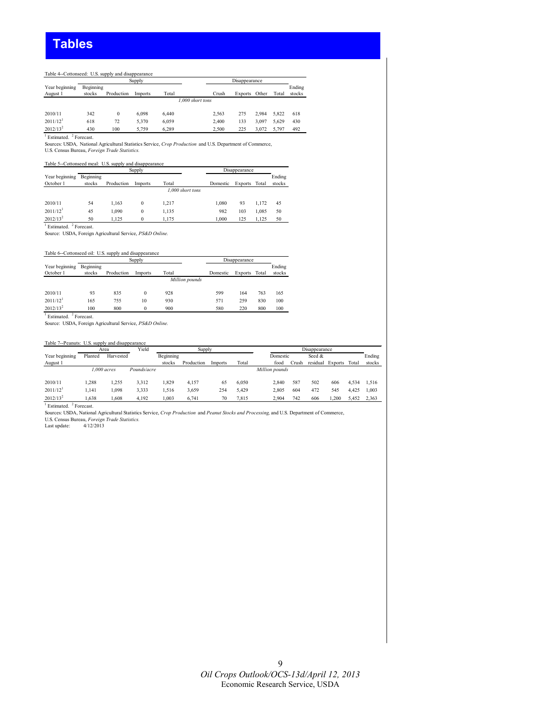#### Table 4--Cottonseed: U.S. supply and disappearance

|                        |           |            | Supply  |       |                  |       | Disappearance  |       |       |        |
|------------------------|-----------|------------|---------|-------|------------------|-------|----------------|-------|-------|--------|
| Year beginning         | Beginning |            |         |       |                  |       |                |       |       | Ending |
| August 1               | stocks    | Production | Imports | Total |                  | Crush | <b>Exports</b> | Other | Total | stocks |
|                        |           |            |         |       | 1.000 short tons |       |                |       |       |        |
| 2010/11                | 342       | 0          | 6.098   | 6.440 |                  | 2.563 | 275            | 2.984 | 5.822 | 618    |
|                        |           |            |         |       |                  |       |                |       |       |        |
| $2011/12$ <sup>1</sup> | 618       | 72         | 5.370   | 6,059 |                  | 2.400 | 133            | 3.097 | 5.629 | 430    |
| $2012/13^2$            | 430       | 100        | 5.759   | 6.289 |                  | 2.500 | 225            | 3.072 | 5.797 | 492    |

<sup>1</sup> Estimated. <sup>2</sup> Forecast.

Sources: USDA*,* National Agricultural Statistics Service, *Crop Production* and U.S. Department of Commerce, U.S. Census Bureau, *Foreign Trade Statistics.*

Table 5--Cottonseed meal: U.S. supply and disappearance

|                        |           |            | Supply   |                  |          | Disappearance  |       |        |
|------------------------|-----------|------------|----------|------------------|----------|----------------|-------|--------|
| Year beginning         | Beginning |            |          |                  |          |                |       | Ending |
| October 1              | stocks    | Production | Imports  | Total            | Domestic | <b>Exports</b> | Total | stocks |
|                        |           |            |          | 1.000 short tons |          |                |       |        |
|                        |           |            |          |                  |          |                |       |        |
| 2010/11                | 54        | 1.163      |          | 1.217            | 1.080    | 93             | 1.172 | 45     |
| $2011/12$ <sup>1</sup> | 45        | 1.090      | $\bf{0}$ | 1,135            | 982      | 103            | 1.085 | 50     |
| $2012/13^2$            | 50        | 1.125      |          | 1.175            | 1.000    | 125            | 1.125 | 50     |

<sup>1</sup> Estimated. <sup>2</sup> Forecast.

Source: USDA, Foreign Agricultural Service, *PS&D Online.*

Table 6--Cottonseed oil: U.S. supply and disappearance

|                                |           |            | Supply   |                |          | Disappearance  |       |        |
|--------------------------------|-----------|------------|----------|----------------|----------|----------------|-------|--------|
| Year beginning                 | Beginning |            |          |                |          |                |       | Ending |
| October 1                      | stocks    | Production | Imports  | Total          | Domestic | <b>Exports</b> | Total | stocks |
|                                |           |            |          | Million pounds |          |                |       |        |
| 2010/11                        | 93        | 835        | $\theta$ | 928            | 599      | 164            | 763   | 165    |
| $2011/12$ <sup>1</sup>         | 165       | 755        | 10       | 930            | 571      | 259            | 830   | 100    |
| $2012/13^2$                    | 100       | 800        | 0        | 900            | 580      | 220            | 800   | 100    |
| Estimated <sup>2</sup> Eorgaet |           |            |          |                |          |                |       |        |

<sup>1</sup> Estimated. <sup>2</sup> Forecast.<br>Source: USDA, Foreign Agricultural Service, *PS&D Online.* 

#### Table 7--Peanuts: U.S. supply and disappearance

|                        |         | Area          | Yield       |           | Supply     |         |       |                |       | Disappearance |         |       |        |
|------------------------|---------|---------------|-------------|-----------|------------|---------|-------|----------------|-------|---------------|---------|-------|--------|
| Year beginning         | Planted | Harvested     |             | Beginning |            |         |       | Domestic       |       | Seed &        |         |       | Ending |
| August 1               |         |               |             | stocks    | Production | Imports | Total | food           | ∴rush | residual      | Exports | Total | stocks |
|                        |         | $1.000$ acres | Pounds/acre |           |            |         |       | Million pounds |       |               |         |       |        |
|                        |         |               |             |           |            |         |       |                |       |               |         |       |        |
| 2010/11                | .288    | 1.255         | 3.312       | .829      | 4.157      | 65      | 6.050 | 2.840          | 587   | 502           | 606     | 4.534 | 1.516  |
| $2011/12$ <sup>1</sup> | .141    | .098          | 3.333       | .516      | 3,659      | 254     | 5.429 | 2.805          | 604   | 472           | 545     | 4.425 | 1.003  |
| $2012/13^2$            | .638    | .608          | 4.192       | .003      | 6.741      | 70      | 7.815 | 2.904          | 742   | 606           | .200    | 5.452 | 2,363  |

<sup>1</sup> Estimated. <sup>2</sup> Forecast.

Sources: USDA, National Agricultural Statistics Service, *Crop Production* and *Peanut Stocks and Processing,* and U.S. Department of Commerce,

U.S. Census Bureau, *Foreign Trade Statistics.* Last update: 4/12/2013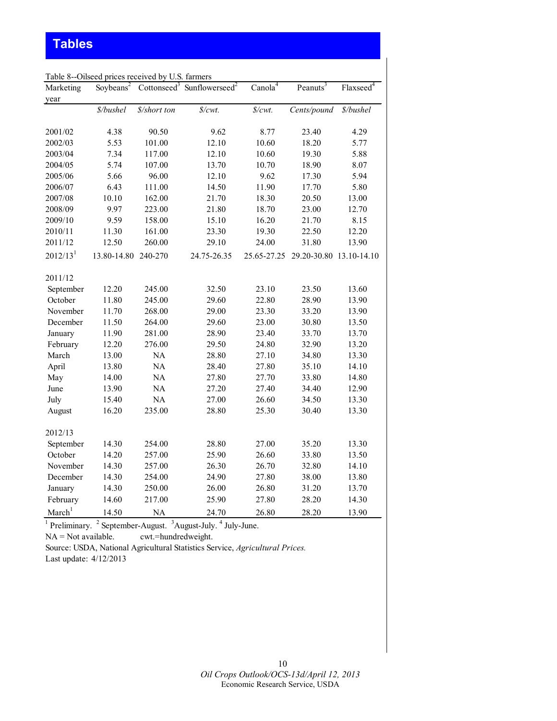# **Tables**

|                      | Table 8--Oilseed prices received by U.S. farmers |              |                                                    |                     |                         |                         |
|----------------------|--------------------------------------------------|--------------|----------------------------------------------------|---------------------|-------------------------|-------------------------|
| Marketing            | Soybeans <sup>2</sup>                            |              | Cottonseed <sup>3</sup> Sunflowerseed <sup>2</sup> | Canola <sup>4</sup> | Peanuts <sup>3</sup>    | $Flaxseed$ <sup>4</sup> |
| year                 |                                                  |              |                                                    |                     |                         |                         |
|                      | \$/bushel                                        | \$/short ton | $\frac{s}{cw}$ .                                   | $\frac{s}{cm}$ .    | Cents/pound             | \$/bushel               |
| 2001/02              | 4.38                                             | 90.50        | 9.62                                               | 8.77                | 23.40                   | 4.29                    |
| 2002/03              | 5.53                                             | 101.00       | 12.10                                              | 10.60               | 18.20                   | 5.77                    |
| 2003/04              | 7.34                                             | 117.00       | 12.10                                              | 10.60               | 19.30                   | 5.88                    |
| 2004/05              | 5.74                                             | 107.00       | 13.70                                              | 10.70               | 18.90                   | 8.07                    |
| 2005/06              | 5.66                                             | 96.00        | 12.10                                              | 9.62                | 17.30                   | 5.94                    |
| 2006/07              | 6.43                                             | 111.00       | 14.50                                              | 11.90               | 17.70                   | 5.80                    |
| 2007/08              | 10.10                                            | 162.00       | 21.70                                              | 18.30               | 20.50                   | 13.00                   |
| 2008/09              | 9.97                                             | 223.00       | 21.80                                              | 18.70               | 23.00                   | 12.70                   |
| 2009/10              | 9.59                                             | 158.00       | 15.10                                              | 16.20               | 21.70                   | 8.15                    |
| 2010/11              | 11.30                                            | 161.00       | 23.30                                              | 19.30               | 22.50                   | 12.20                   |
| 2011/12              | 12.50                                            | 260.00       | 29.10                                              | 24.00               | 31.80                   | 13.90                   |
| 2012/13 <sup>1</sup> | 13.80-14.80                                      | 240-270      | 24.75-26.35                                        | 25.65-27.25         | 29.20-30.80 13.10-14.10 |                         |
| 2011/12              |                                                  |              |                                                    |                     |                         |                         |
| September            | 12.20                                            | 245.00       | 32.50                                              | 23.10               | 23.50                   | 13.60                   |
| October              | 11.80                                            | 245.00       | 29.60                                              | 22.80               | 28.90                   | 13.90                   |
| November             | 11.70                                            | 268.00       | 29.00                                              | 23.30               | 33.20                   | 13.90                   |
| December             | 11.50                                            | 264.00       | 29.60                                              | 23.00               | 30.80                   | 13.50                   |
| January              | 11.90                                            | 281.00       | 28.90                                              | 23.40               | 33.70                   | 13.70                   |
| February             | 12.20                                            | 276.00       | 29.50                                              | 24.80               | 32.90                   | 13.20                   |
| March                | 13.00                                            | NA           | 28.80                                              | 27.10               | 34.80                   | 13.30                   |
| April                | 13.80                                            | NA           | 28.40                                              | 27.80               | 35.10                   | 14.10                   |
| May                  | 14.00                                            | NA           | 27.80                                              | 27.70               | 33.80                   | 14.80                   |
| June                 | 13.90                                            | NA           | 27.20                                              | 27.40               | 34.40                   | 12.90                   |
| July                 | 15.40                                            | $\rm NA$     | 27.00                                              | 26.60               | 34.50                   | 13.30                   |
| August               | 16.20                                            | 235.00       | 28.80                                              | 25.30               | 30.40                   | 13.30                   |
| 2012/13              |                                                  |              |                                                    |                     |                         |                         |
| September            | 14.30                                            | 254.00       | 28.80                                              | 27.00               | 35.20                   | 13.30                   |
| October              | 14.20                                            | 257.00       | 25.90                                              | 26.60               | 33.80                   | 13.50                   |
| November             | 14.30                                            | 257.00       | 26.30                                              | 26.70               | 32.80                   | 14.10                   |
| December             | 14.30                                            | 254.00       | 24.90                                              | 27.80               | 38.00                   | 13.80                   |
| January              | 14.30                                            | 250.00       | 26.00                                              | 26.80               | 31.20                   | 13.70                   |
| February             | 14.60                                            | 217.00       | 25.90                                              | 27.80               | 28.20                   | 14.30                   |
| March <sup>1</sup>   | 14.50                                            | <b>NA</b>    | 24.70                                              | 26.80               | 28.20                   | 13.90                   |

 $<sup>1</sup>$  Preliminary.  $<sup>2</sup>$  September-August.  $<sup>3</sup>$  August-July.  $<sup>4</sup>$  July-June.</sup></sup></sup></sup>

NA = Not available. cwt.=hundredweight.

Source: USDA, National Agricultural Statistics Service, *Agricultural Prices.*  Last update: 4/12/2013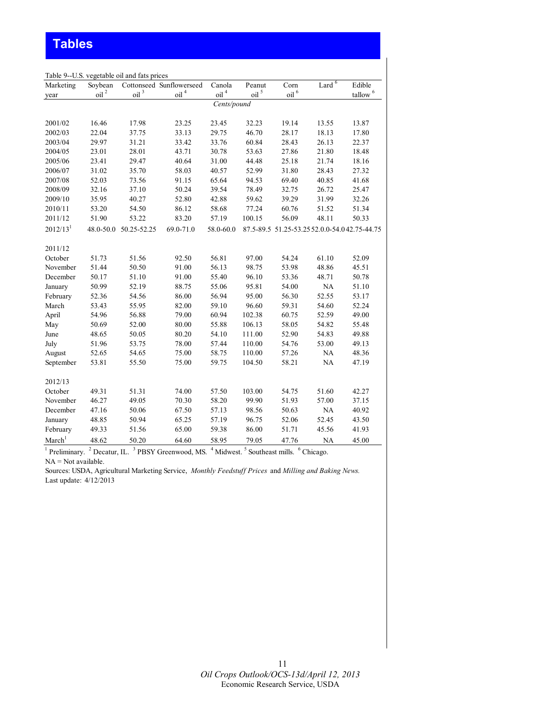| Marketing            | Soybean          |                           | Cottonseed Sunflowerseed | Canola           | Peanut           | Corn             | Lard <sup>6</sup>                            | Edible              |
|----------------------|------------------|---------------------------|--------------------------|------------------|------------------|------------------|----------------------------------------------|---------------------|
| year                 | oil <sup>2</sup> | $\overline{\text{oil}}^3$ | oil <sup>4</sup>         | oil <sup>4</sup> | oil <sup>5</sup> | oil <sup>6</sup> |                                              | tallow <sup>6</sup> |
|                      |                  |                           |                          | Cents/pound      |                  |                  |                                              |                     |
|                      |                  |                           |                          |                  |                  |                  |                                              |                     |
| 2001/02              | 16.46            | 17.98                     | 23.25                    | 23.45            | 32.23            | 19.14            | 13.55                                        | 13.87               |
| 2002/03              | 22.04            | 37.75                     | 33.13                    | 29.75            | 46.70            | 28.17            | 18.13                                        | 17.80               |
| 2003/04              | 29.97            | 31.21                     | 33.42                    | 33.76            | 60.84            | 28.43            | 26.13                                        | 22.37               |
| 2004/05              | 23.01            | 28.01                     | 43.71                    | 30.78            | 53.63            | 27.86            | 21.80                                        | 18.48               |
| 2005/06              | 23.41            | 29.47                     | 40.64                    | 31.00            | 44.48            | 25.18            | 21.74                                        | 18.16               |
| 2006/07              | 31.02            | 35.70                     | 58.03                    | 40.57            | 52.99            | 31.80            | 28.43                                        | 27.32               |
| 2007/08              | 52.03            | 73.56                     | 91.15                    | 65.64            | 94.53            | 69.40            | 40.85                                        | 41.68               |
| 2008/09              | 32.16            | 37.10                     | 50.24                    | 39.54            | 78.49            | 32.75            | 26.72                                        | 25.47               |
| 2009/10              | 35.95            | 40.27                     | 52.80                    | 42.88            | 59.62            | 39.29            | 31.99                                        | 32.26               |
| 2010/11              | 53.20            | 54.50                     | 86.12                    | 58.68            | 77.24            | 60.76            | 51.52                                        | 51.34               |
| 2011/12              | 51.90            | 53.22                     | 83.20                    | 57.19            | 100.15           | 56.09            | 48.11                                        | 50.33               |
| 2012/13 <sup>1</sup> | 48.0-50.0        | 50.25-52.25               | 69.0-71.0                | 58.0-60.0        |                  |                  | 87.5-89.5 51.25-53.25 52.0.0-54.042.75-44.75 |                     |
| 2011/12              |                  |                           |                          |                  |                  |                  |                                              |                     |
| October              | 51.73            | 51.56                     | 92.50                    | 56.81            | 97.00            | 54.24            | 61.10                                        | 52.09               |
| November             | 51.44            | 50.50                     | 91.00                    | 56.13            | 98.75            | 53.98            | 48.86                                        | 45.51               |
| December             | 50.17            | 51.10                     | 91.00                    | 55.40            | 96.10            | 53.36            | 48.71                                        | 50.78               |
| January              | 50.99            | 52.19                     | 88.75                    | 55.06            | 95.81            | 54.00            | <b>NA</b>                                    | 51.10               |
| February             | 52.36            | 54.56                     | 86.00                    | 56.94            | 95.00            | 56.30            | 52.55                                        | 53.17               |
| March                | 53.43            | 55.95                     | 82.00                    | 59.10            | 96.60            | 59.31            | 54.60                                        | 52.24               |
| April                | 54.96            | 56.88                     | 79.00                    | 60.94            | 102.38           | 60.75            | 52.59                                        | 49.00               |
| May                  | 50.69            | 52.00                     | 80.00                    | 55.88            | 106.13           | 58.05            | 54.82                                        | 55.48               |
| June                 | 48.65            | 50.05                     | 80.20                    | 54.10            | 111.00           | 52.90            | 54.83                                        | 49.88               |
| July                 | 51.96            | 53.75                     | 78.00                    | 57.44            | 110.00           | 54.76            | 53.00                                        | 49.13               |
| August               | 52.65            | 54.65                     | 75.00                    | 58.75            | 110.00           | 57.26            | NA                                           | 48.36               |
| September            | 53.81            | 55.50                     | 75.00                    | 59.75            | 104.50           | 58.21            | NA                                           | 47.19               |
| 2012/13              |                  |                           |                          |                  |                  |                  |                                              |                     |
| October              | 49.31            | 51.31                     | 74.00                    | 57.50            | 103.00           | 54.75            | 51.60                                        | 42.27               |
| November             | 46.27            | 49.05                     | 70.30                    | 58.20            | 99.90            | 51.93            | 57.00                                        | 37.15               |
| December             | 47.16            | 50.06                     | 67.50                    | 57.13            | 98.56            | 50.63            | NA                                           | 40.92               |
| January              | 48.85            | 50.94                     | 65.25                    | 57.19            | 96.75            | 52.06            | 52.45                                        | 43.50               |
| February             | 49.33            | 51.56                     | 65.00                    | 59.38            | 86.00            | 51.71            | 45.56                                        | 41.93               |
| March <sup>1</sup>   | 48.62            | 50.20                     | 64.60                    | 58.95            | 79.05            | 47.76            | <b>NA</b>                                    | 45.00               |

 $<sup>1</sup>$  Preliminary.  $<sup>2</sup>$  Decatur, IL.  $<sup>3</sup>$  PBSY Greenwood, MS.  $<sup>4</sup>$  Midwest.  $<sup>5</sup>$  Southeast mills.  $<sup>6</sup>$  Chicago.</sup></sup></sup></sup></sup></sup>  $NA = Not available.$ 

Sources: USDA, Agricultural Marketing Service, *Monthly Feedstuff Prices* and *Milling and Baking News.*  Last update: 4/12/2013